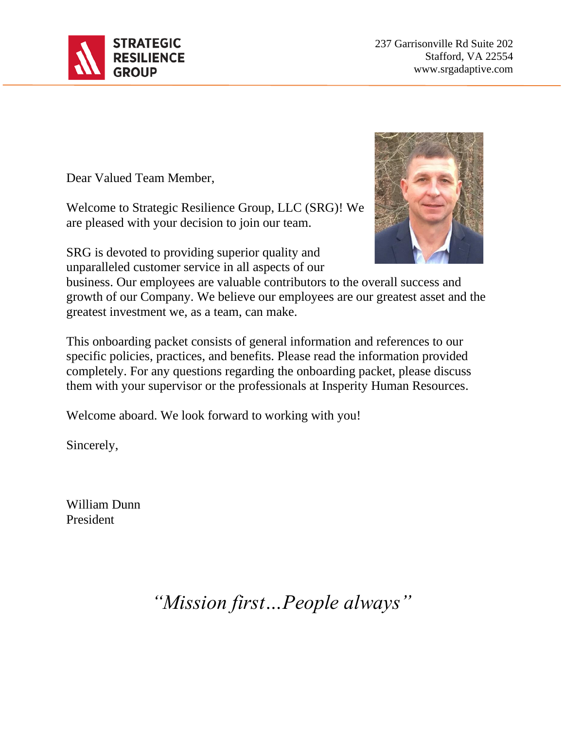

237 Garrisonville Rd Suite 202 Stafford, VA 22554 www.srgadaptive.com

Dear Valued Team Member,

Welcome to Strategic Resilience Group, LLC (SRG)! We are pleased with your decision to join our team.

SRG is devoted to providing superior quality and unparalleled customer service in all aspects of our



business. Our employees are valuable contributors to the overall success and growth of our Company. We believe our employees are our greatest asset and the greatest investment we, as a team, can make.

This onboarding packet consists of general information and references to our specific policies, practices, and benefits. Please read the information provided completely. For any questions regarding the onboarding packet, please discuss them with your supervisor or the professionals at Insperity Human Resources.

Welcome aboard. We look forward to working with you!

Sincerely,

William Dunn President

*"Mission first…People always"*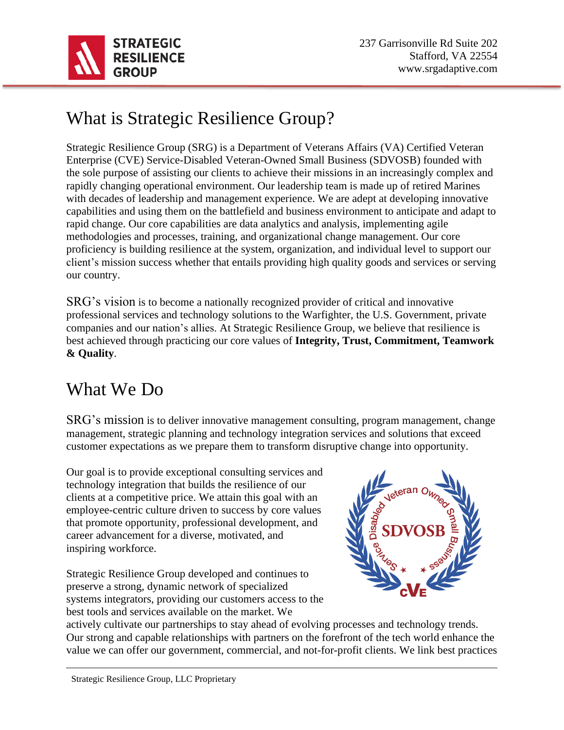

# What is Strategic Resilience Group?

Strategic Resilience Group (SRG) is a Department of Veterans Affairs (VA) Certified Veteran Enterprise (CVE) Service-Disabled Veteran-Owned Small Business (SDVOSB) founded with the sole purpose of assisting our clients to achieve their missions in an increasingly complex and rapidly changing operational environment. Our leadership team is made up of retired Marines with decades of leadership and management experience. We are adept at developing innovative capabilities and using them on the battlefield and business environment to anticipate and adapt to rapid change. Our core capabilities are data analytics and analysis, implementing agile methodologies and processes, training, and organizational change management. Our core proficiency is building resilience at the system, organization, and individual level to support our client's mission success whether that entails providing high quality goods and services or serving our country.

SRG's vision is to become a nationally recognized provider of critical and innovative professional services and technology solutions to the Warfighter, the U.S. Government, private companies and our nation's allies. At Strategic Resilience Group, we believe that resilience is best achieved through practicing our core values of **Integrity, Trust, Commitment, Teamwork & Quality**.

## What We Do

SRG's mission is to deliver innovative management consulting, program management, change management, strategic planning and technology integration services and solutions that exceed customer expectations as we prepare them to transform disruptive change into opportunity.

Our goal is to provide exceptional consulting services and technology integration that builds the resilience of our clients at a competitive price. We attain this goal with an employee-centric culture driven to success by core values that promote opportunity, professional development, and career advancement for a diverse, motivated, and inspiring workforce.

Strategic Resilience Group developed and continues to preserve a strong, dynamic network of specialized systems integrators, providing our customers access to the best tools and services available on the market. We



actively cultivate our partnerships to stay ahead of evolving processes and technology trends. Our strong and capable relationships with partners on the forefront of the tech world enhance the value we can offer our government, commercial, and not-for-profit clients. We link best practices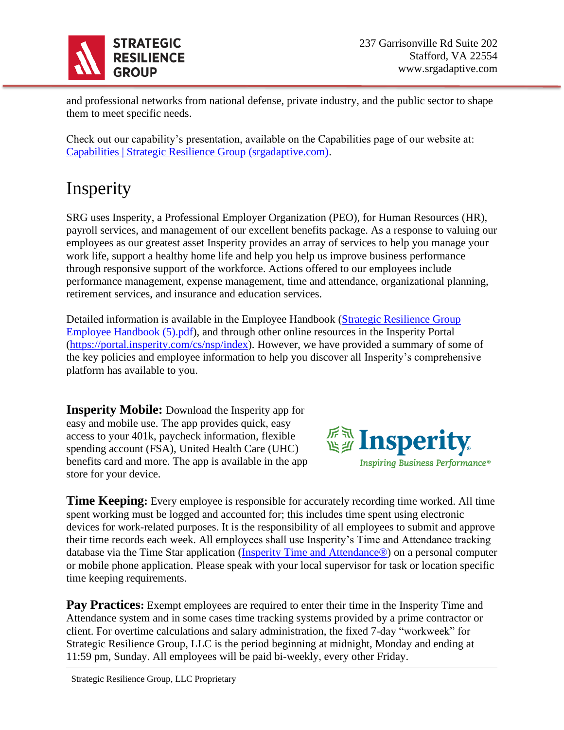

and professional networks from national defense, private industry, and the public sector to shape them to meet specific needs.

Check out our capability's presentation, available on the Capabilities page of our website at: [Capabilities | Strategic Resilience Group \(srgadaptive.com\).](https://www.srgadaptive.com/capabilities)

# Insperity

SRG uses Insperity, a Professional Employer Organization (PEO), for Human Resources (HR), payroll services, and management of our excellent benefits package. As a response to valuing our employees as our greatest asset Insperity provides an array of services to help you manage your work life, support a healthy home life and help you help us improve business performance through responsive support of the workforce. Actions offered to our employees include performance management, expense management, time and attendance, organizational planning, retirement services, and insurance and education services.

Detailed information is available in the Employee Handbook [\(Strategic Resilience Group](file:///C:/Users/lcagu/Downloads/Strategic%20Resilience%20Group%20Employee%20Handbook%20(5).pdf)  [Employee Handbook \(5\).pdf\)](file:///C:/Users/lcagu/Downloads/Strategic%20Resilience%20Group%20Employee%20Handbook%20(5).pdf), and through other online resources in the Insperity Portal [\(https://portal.insperity.com/cs/nsp/index\)](https://portal.insperity.com/cs/nsp/index). However, we have provided a summary of some of the key policies and employee information to help you discover all Insperity's comprehensive platform has available to you.

**Insperity Mobile:** Download the Insperity app for easy and mobile use. The app provides quick, easy access to your 401k, paycheck information, flexible spending account (FSA), United Health Care (UHC) benefits card and more. The app is available in the app store for your device.



**Time Keeping:** Every employee is responsible for accurately recording time worked. All time spent working must be logged and accounted for; this includes time spent using electronic devices for work-related purposes. It is the responsibility of all employees to submit and approve their time records each week. All employees shall use Insperity's Time and Attendance tracking database via the Time Star application [\(Insperity Time and Attendance®\)](https://timestar.insperity.com/NSP2292/#-page=home&~state=WzEsNzksMSwiMjAyMiIsNCw4Niw2OTYyNDczOTQsMSwibG9hZF9wYWdlIl0) on a personal computer or mobile phone application. Please speak with your local supervisor for task or location specific time keeping requirements.

**Pay Practices:** Exempt employees are required to enter their time in the Insperity Time and Attendance system and in some cases time tracking systems provided by a prime contractor or client. For overtime calculations and salary administration, the fixed 7-day "workweek" for Strategic Resilience Group, LLC is the period beginning at midnight, Monday and ending at 11:59 pm, Sunday. All employees will be paid bi-weekly, every other Friday.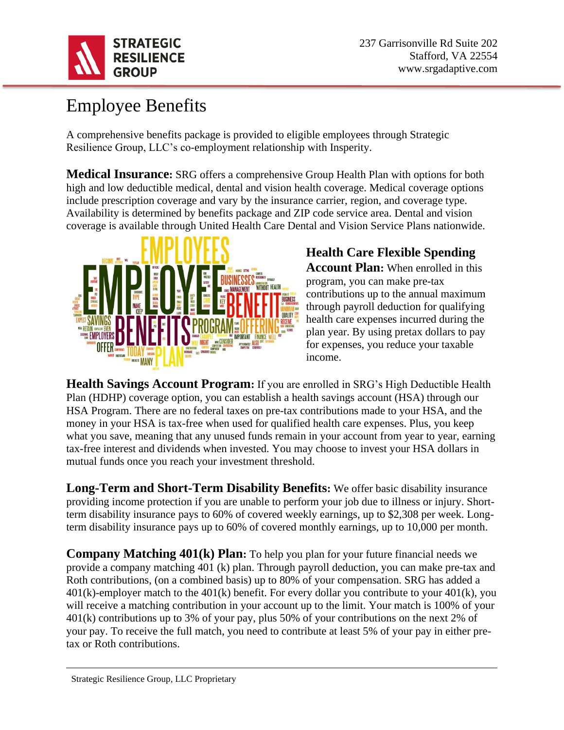

## Employee Benefits

A comprehensive benefits package is provided to eligible employees through Strategic Resilience Group, LLC's co-employment relationship with Insperity.

**Medical Insurance:** SRG offers a comprehensive Group Health Plan with options for both high and low deductible medical, dental and vision health coverage. Medical coverage options include prescription coverage and vary by the insurance carrier, region, and coverage type. Availability is determined by benefits package and ZIP code service area. Dental and vision coverage is available through United Health Care Dental and Vision Service Plans nationwide.



# **Health Care Flexible Spending**

**Account Plan:** When enrolled in this program, you can make pre-tax contributions up to the annual maximum through payroll deduction for qualifying health care expenses incurred during the plan year. By using pretax dollars to pay for expenses, you reduce your taxable income.

**Health Savings Account Program:** If you are enrolled in SRG's High Deductible Health Plan (HDHP) coverage option, you can establish a health savings account (HSA) through our HSA Program. There are no federal taxes on pre-tax contributions made to your HSA, and the money in your HSA is tax-free when used for qualified health care expenses. Plus, you keep what you save, meaning that any unused funds remain in your account from year to year, earning tax-free interest and dividends when invested. You may choose to invest your HSA dollars in mutual funds once you reach your investment threshold.

**Long-Term and Short-Term Disability Benefits:** We offer basic disability insurance providing income protection if you are unable to perform your job due to illness or injury. Shortterm disability insurance pays to 60% of covered weekly earnings, up to \$2,308 per week. Longterm disability insurance pays up to 60% of covered monthly earnings, up to 10,000 per month.

**Company Matching 401(k) Plan:** To help you plan for your future financial needs we provide a company matching 401 (k) plan. Through payroll deduction, you can make pre-tax and Roth contributions, (on a combined basis) up to 80% of your compensation. SRG has added a  $401(k)$ -employer match to the  $401(k)$  benefit. For every dollar you contribute to your  $401(k)$ , you will receive a matching contribution in your account up to the limit. Your match is 100% of your 401(k) contributions up to 3% of your pay, plus 50% of your contributions on the next 2% of your pay. To receive the full match, you need to contribute at least 5% of your pay in either pretax or Roth contributions.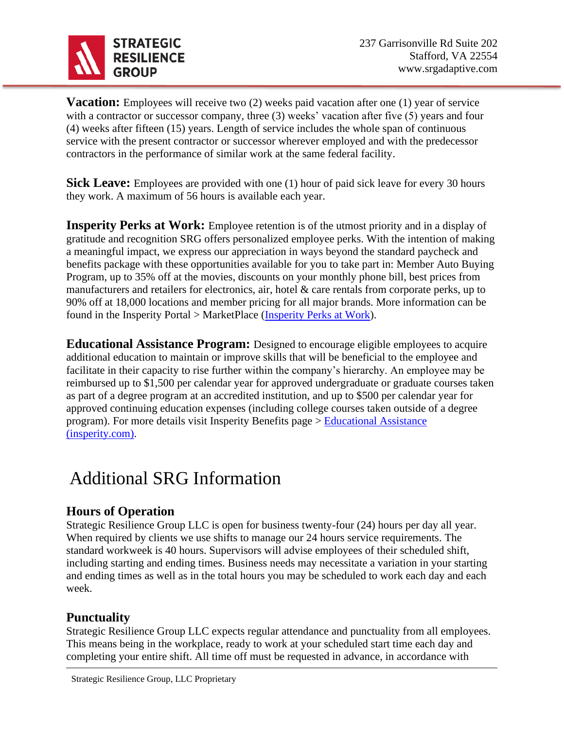

**Vacation:** Employees will receive two (2) weeks paid vacation after one (1) year of service with a contractor or successor company, three (3) weeks' vacation after five (5) years and four (4) weeks after fifteen (15) years. Length of service includes the whole span of continuous service with the present contractor or successor wherever employed and with the predecessor contractors in the performance of similar work at the same federal facility.

**Sick Leave:** Employees are provided with one (1) hour of paid sick leave for every 30 hours they work. A maximum of 56 hours is available each year.

**Insperity Perks at Work:** Employee retention is of the utmost priority and in a display of gratitude and recognition SRG offers personalized employee perks. With the intention of making a meaningful impact, we express our appreciation in ways beyond the standard paycheck and benefits package with these opportunities available for you to take part in: Member Auto Buying Program, up to 35% off at the movies, discounts on your monthly phone bill, best prices from manufacturers and retailers for electronics, air, hotel & care rentals from corporate perks, up to 90% off at 18,000 locations and member pricing for all major brands. More information can be found in the Insperity Portal > MarketPlace [\(Insperity Perks at Work\)](https://www.perksatwork.com/welcome/index/uSource/ssaml).

**Educational Assistance Program:** Designed to encourage eligible employees to acquire additional education to maintain or improve skills that will be beneficial to the employee and facilitate in their capacity to rise further within the company's hierarchy. An employee may be reimbursed up to \$1,500 per calendar year for approved undergraduate or graduate courses taken as part of a degree program at an accredited institution, and up to \$500 per calendar year for approved continuing education expenses (including college courses taken outside of a degree program). For more details visit Insperity Benefits page > [Educational Assistance](https://portal.insperity.com/cs/nsp/SitePage/educational_assistance)  [\(insperity.com\).](https://portal.insperity.com/cs/nsp/SitePage/educational_assistance)

## Additional SRG Information

#### **Hours of Operation**

Strategic Resilience Group LLC is open for business twenty-four (24) hours per day all year. When required by clients we use shifts to manage our 24 hours service requirements. The standard workweek is 40 hours. Supervisors will advise employees of their scheduled shift, including starting and ending times. Business needs may necessitate a variation in your starting and ending times as well as in the total hours you may be scheduled to work each day and each week.

#### **Punctuality**

Strategic Resilience Group LLC expects regular attendance and punctuality from all employees. This means being in the workplace, ready to work at your scheduled start time each day and completing your entire shift. All time off must be requested in advance, in accordance with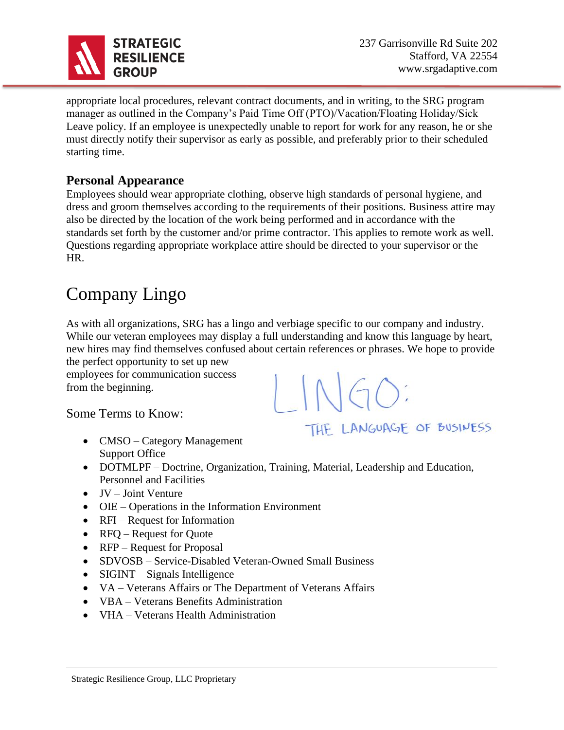

THE LANGUAGE OF BUSINESS

appropriate local procedures, relevant contract documents, and in writing, to the SRG program manager as outlined in the Company's Paid Time Off (PTO)/Vacation/Floating Holiday/Sick Leave policy. If an employee is unexpectedly unable to report for work for any reason, he or she must directly notify their supervisor as early as possible, and preferably prior to their scheduled starting time.

#### **Personal Appearance**

Employees should wear appropriate clothing, observe high standards of personal hygiene, and dress and groom themselves according to the requirements of their positions. Business attire may also be directed by the location of the work being performed and in accordance with the standards set forth by the customer and/or prime contractor. This applies to remote work as well. Questions regarding appropriate workplace attire should be directed to your supervisor or the HR.

## Company Lingo

As with all organizations, SRG has a lingo and verbiage specific to our company and industry. While our veteran employees may display a full understanding and know this language by heart, new hires may find themselves confused about certain references or phrases. We hope to provide the perfect opportunity to set up new

employees for communication success from the beginning.

Some Terms to Know:

- CMSO Category Management Support Office
- DOTMLPF Doctrine, Organization, Training, Material, Leadership and Education, Personnel and Facilities
- JV Joint Venture
- OIE Operations in the Information Environment
- RFI Request for Information
- RFQ Request for Quote
- RFP Request for Proposal
- SDVOSB Service-Disabled Veteran-Owned Small Business
- SIGINT Signals Intelligence
- VA Veterans Affairs or The Department of Veterans Affairs
- VBA Veterans Benefits Administration
- VHA Veterans Health Administration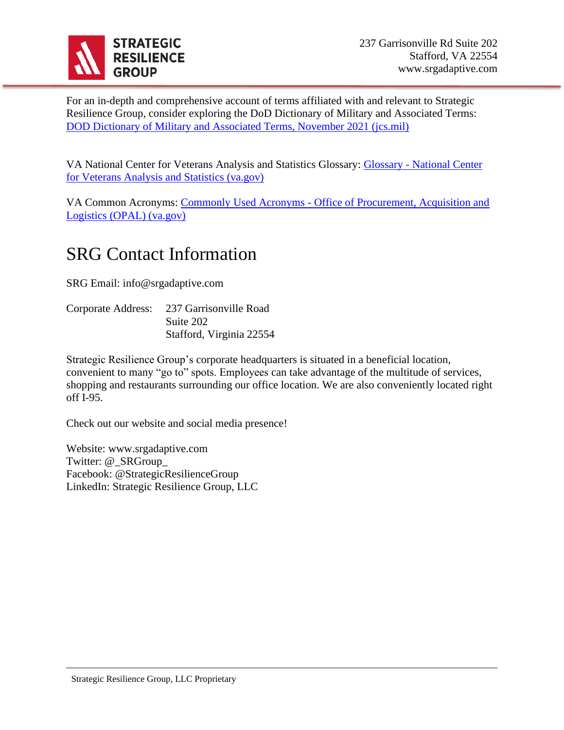

For an in-depth and comprehensive account of terms affiliated with and relevant to Strategic Resilience Group, consider exploring the DoD Dictionary of Military and Associated Terms: [DOD Dictionary of Military and Associated Terms, November 2021 \(jcs.mil\)](https://www.jcs.mil/Portals/36/Documents/Doctrine/pubs/dictionary.pdf)

VA National Center for Veterans Analysis and Statistics Glossary: Glossary - [National Center](https://www.va.gov/vetdata/glossary.asp)  [for Veterans Analysis and Statistics \(va.gov\)](https://www.va.gov/vetdata/glossary.asp)

VA Common Acronyms: Commonly Used Acronyms - [Office of Procurement, Acquisition and](https://www.va.gov/opal/nac/fss/acronyms.asp)  [Logistics \(OPAL\) \(va.gov\)](https://www.va.gov/opal/nac/fss/acronyms.asp)

## SRG Contact Information

SRG Email: info@srgadaptive.com

| Corporate Address: | 237 Garrisonville Road   |
|--------------------|--------------------------|
|                    | Suite 202                |
|                    | Stafford, Virginia 22554 |

Strategic Resilience Group's corporate headquarters is situated in a beneficial location, convenient to many "go to" spots. Employees can take advantage of the multitude of services, shopping and restaurants surrounding our office location. We are also conveniently located right off I-95.

Check out our website and social media presence!

Website: www.srgadaptive.com Twitter: @\_SRGroup\_ Facebook: @StrategicResilienceGroup LinkedIn: Strategic Resilience Group, LLC